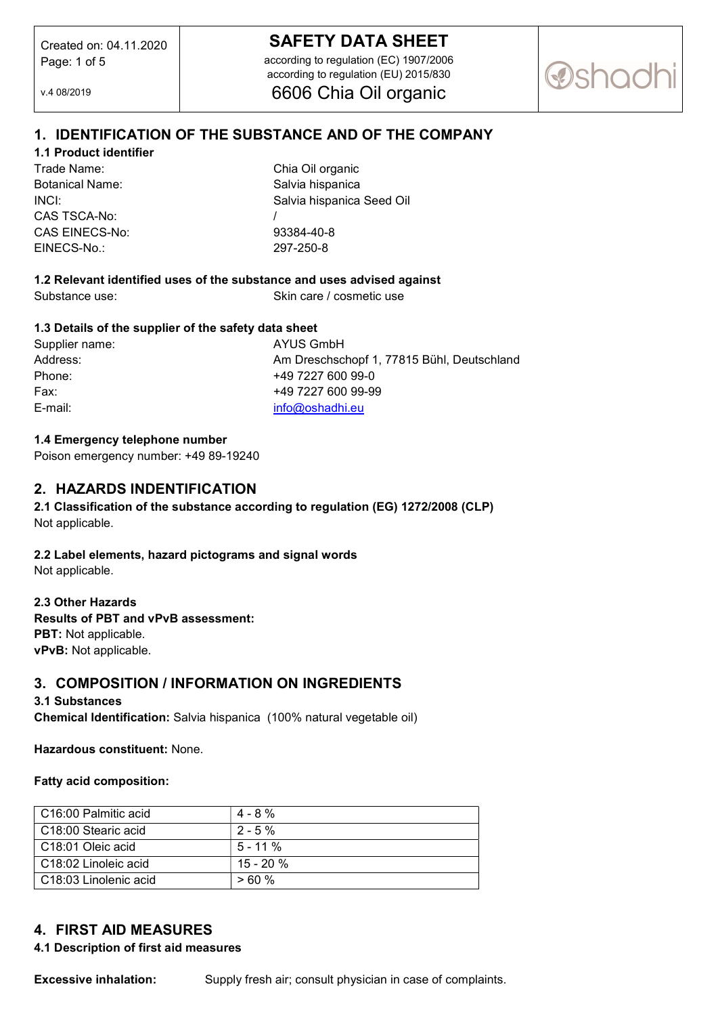# SAFETY DATA SHEET

according to regulation (EC) 1907/2006 according to regulation (EU) 2015/830 6606 Chia Oil organic

**@shac** 

v.4 08/2019

# 1. IDENTIFICATION OF THE SUBSTANCE AND OF THE COMPANY

### 1.1 Product identifier

Trade Name: Chia Oil organic Botanical Name: Salvia hispanica CAS TSCA-No: / CAS EINECS-No: 93384-40-8 EINECS-No.: 297-250-8

INCI: Salvia hispanica Seed Oil

## 1.2 Relevant identified uses of the substance and uses advised against

Substance use: Skin care / cosmetic use

### 1.3 Details of the supplier of the safety data sheet

| Supplier nam |
|--------------|
| Address:     |
| Phone:       |
| Fax:         |
| E-mail:      |

ne: AYUS GmbH Am Dreschschopf 1, 77815 Bühl, Deutschland +49 7227 600 99-0 Fax: +49 7227 600 99-99 info@oshadhi.eu

### 1.4 Emergency telephone number

Poison emergency number: +49 89-19240

### 2. HAZARDS INDENTIFICATION

2.1 Classification of the substance according to regulation (EG) 1272/2008 (CLP) Not applicable.

### 2.2 Label elements, hazard pictograms and signal words

Not applicable.

#### 2.3 Other Hazards

Results of PBT and vPvB assessment: PBT: Not applicable. vPvB: Not applicable.

## 3. COMPOSITION / INFORMATION ON INGREDIENTS

#### 3.1 Substances

Chemical Identification: Salvia hispanica (100% natural vegetable oil)

### Hazardous constituent: None.

Fatty acid composition:

| C16:00 Palmitic acid    | $4 - 8 \%$  |
|-------------------------|-------------|
| C18:00 Stearic acid     | $2 - 5\%$   |
| C18:01 Oleic acid       | $5 - 11 \%$ |
| C18:02 Linoleic acid    | $15 - 20%$  |
| l C18:03 Linolenic acid | >60%        |

# 4. FIRST AID MEASURES

### 4.1 Description of first aid measures

**Excessive inhalation:** Supply fresh air; consult physician in case of complaints.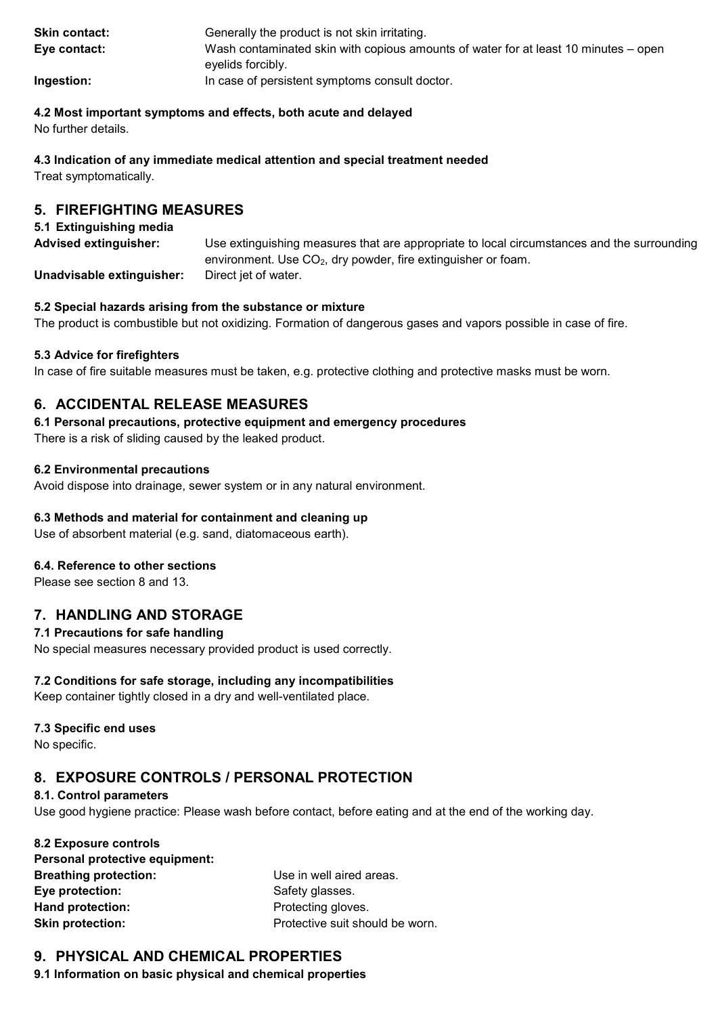| <b>Skin contact:</b> | Generally the product is not skin irritating.                                                            |
|----------------------|----------------------------------------------------------------------------------------------------------|
| Eye contact:         | Wash contaminated skin with copious amounts of water for at least 10 minutes – open<br>evelids forcibly. |
| Ingestion:           | In case of persistent symptoms consult doctor.                                                           |

### 4.2 Most important symptoms and effects, both acute and delayed

No further details.

### 4.3 Indication of any immediate medical attention and special treatment needed

Treat symptomatically.

# 5. FIREFIGHTING MEASURES

### 5.1 Extinguishing media

| <b>Advised extinguisher:</b> | Use extinguishing measures that are appropriate to local circumstances and the surrounding |  |
|------------------------------|--------------------------------------------------------------------------------------------|--|
|                              | environment. Use $CO2$ , dry powder, fire extinguisher or foam.                            |  |
| Unadvisable extinguisher:    | Direct jet of water.                                                                       |  |

### 5.2 Special hazards arising from the substance or mixture

The product is combustible but not oxidizing. Formation of dangerous gases and vapors possible in case of fire.

## 5.3 Advice for firefighters

In case of fire suitable measures must be taken, e.g. protective clothing and protective masks must be worn.

# 6. ACCIDENTAL RELEASE MEASURES

### 6.1 Personal precautions, protective equipment and emergency procedures

There is a risk of sliding caused by the leaked product.

### 6.2 Environmental precautions

Avoid dispose into drainage, sewer system or in any natural environment.

## 6.3 Methods and material for containment and cleaning up

Use of absorbent material (e.g. sand, diatomaceous earth).

### 6.4. Reference to other sections

Please see section 8 and 13.

# 7. HANDLING AND STORAGE

## 7.1 Precautions for safe handling

No special measures necessary provided product is used correctly.

## 7.2 Conditions for safe storage, including any incompatibilities

Keep container tightly closed in a dry and well-ventilated place.

## 7.3 Specific end uses

No specific.

# 8. EXPOSURE CONTROLS / PERSONAL PROTECTION

### 8.1. Control parameters

Use good hygiene practice: Please wash before contact, before eating and at the end of the working day.

| 8.2 Exposure controls          |     |
|--------------------------------|-----|
| Personal protective equipment: |     |
| <b>Breathing protection:</b>   | Use |
| Eye protection:                | Saf |
| <b>Hand protection:</b>        | Pro |
| <b>Skin protection:</b>        | Pro |

e in well aired areas. ety glasses. tecting gloves. tective suit should be worn.

# 9. PHYSICAL AND CHEMICAL PROPERTIES

9.1 Information on basic physical and chemical properties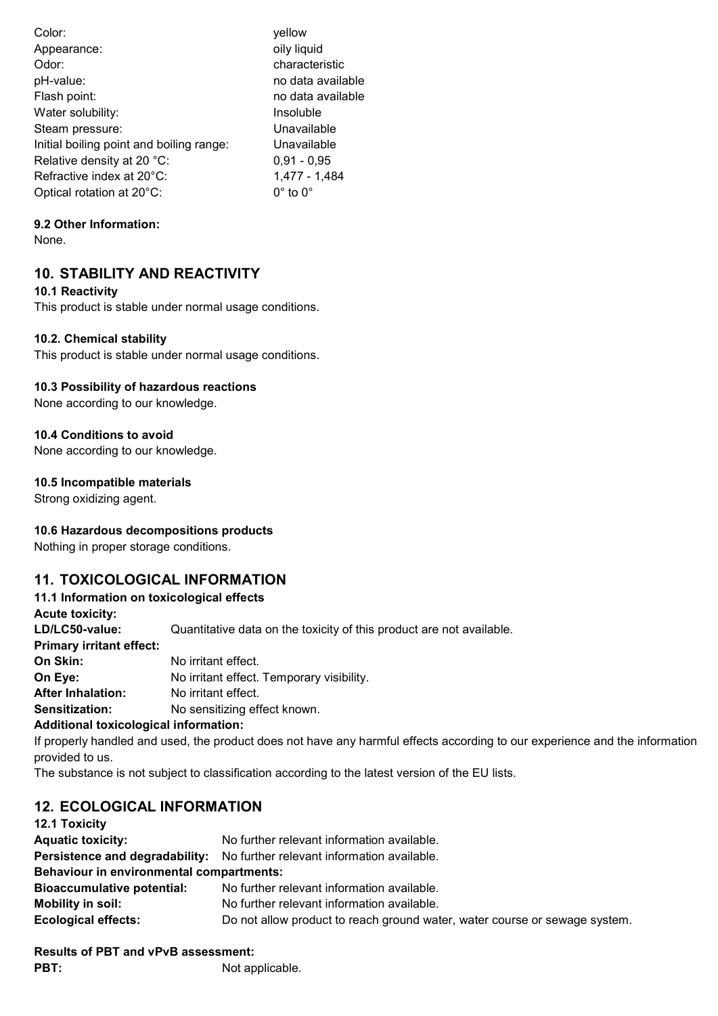| Color:                                   | yellow                 |
|------------------------------------------|------------------------|
| Appearance:                              | oily liquid            |
| Odor:                                    | characteristic         |
| pH-value:                                | no data available      |
| Flash point:                             | no data available      |
| Water solubility:                        | Insoluble              |
| Steam pressure:                          | Unavailable            |
| Initial boiling point and boiling range: | Unavailable            |
| Relative density at 20 °C:               | $0,91 - 0,95$          |
| Refractive index at 20°C:                | 1,477 - 1,484          |
| Optical rotation at 20°C:                | $0^\circ$ to $0^\circ$ |

## 9.2 Other Information:

None.

# 10. STABILITY AND REACTIVITY

10.1 Reactivity

This product is stable under normal usage conditions.

## 10.2. Chemical stability

This product is stable under normal usage conditions.

### 10.3 Possibility of hazardous reactions

None according to our knowledge.

## 10.4 Conditions to avoid

None according to our knowledge.

### 10.5 Incompatible materials

Strong oxidizing agent.

## 10.6 Hazardous decompositions products

Nothing in proper storage conditions.

# 11. TOXICOLOGICAL INFORMATION

## 11.1 Information on toxicological effects

Acute toxicity:

LD/LC50-value: Quantitative data on the toxicity of this product are not available.

Primary irritant effect:

**On Skin:** No irritant effect.

On Eye: No irritant effect. Temporary visibility.

After Inhalation: No irritant effect.

Sensitization: No sensitizing effect known.

# Additional toxicological information:

If properly handled and used, the product does not have any harmful effects according to our experience and the information provided to us.

The substance is not subject to classification according to the latest version of the EU lists.

# 12. ECOLOGICAL INFORMATION

| 12.1 Toxicity                                   |                                                                            |
|-------------------------------------------------|----------------------------------------------------------------------------|
| <b>Aquatic toxicity:</b>                        | No further relevant information available.                                 |
|                                                 | Persistence and degradability: No further relevant information available.  |
| <b>Behaviour in environmental compartments:</b> |                                                                            |
| <b>Bioaccumulative potential:</b>               | No further relevant information available.                                 |
| Mobility in soil:                               | No further relevant information available.                                 |
| <b>Ecological effects:</b>                      | Do not allow product to reach ground water, water course or sewage system. |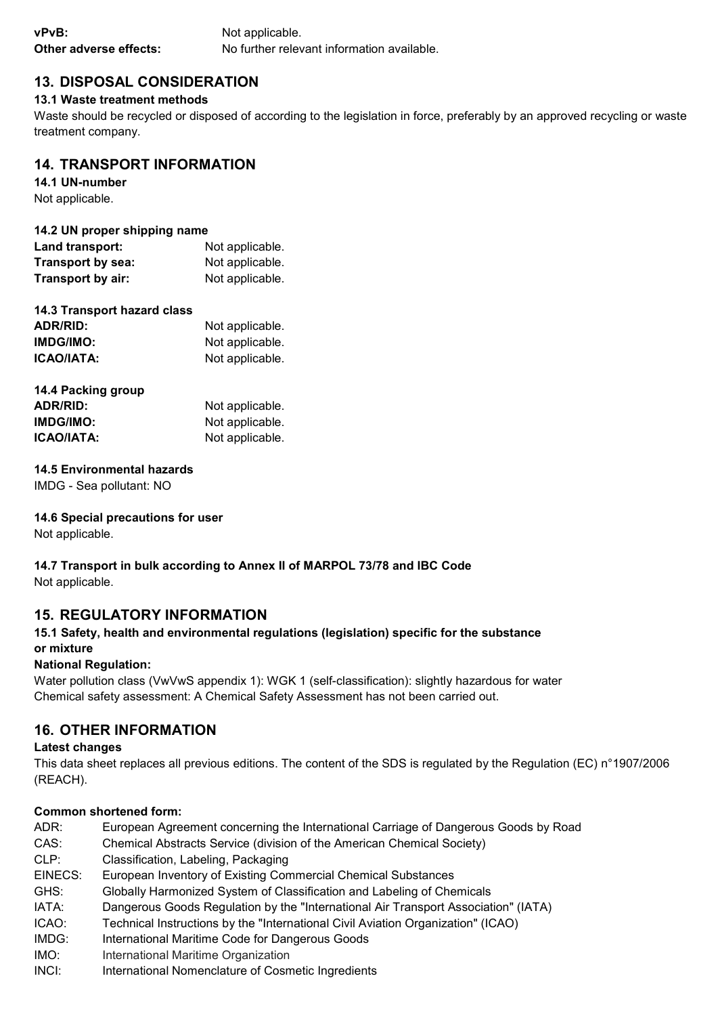| vPvB:                  | Not applicable.                            |
|------------------------|--------------------------------------------|
| Other adverse effects: | No further relevant information available. |

# 13. DISPOSAL CONSIDERATION

### 13.1 Waste treatment methods

Waste should be recycled or disposed of according to the legislation in force, preferably by an approved recycling or waste treatment company.

# 14. TRANSPORT INFORMATION

14.1 UN-number

Not applicable.

### 14.2 UN proper shipping name

| Land transport:   | Not applicable. |
|-------------------|-----------------|
| Transport by sea: | Not applicable. |
| Transport by air: | Not applicable. |

# 14.3 Transport hazard class

| ADR/RID:          | Not applicable. |
|-------------------|-----------------|
| IMDG/IMO:         | Not applicable. |
| <b>ICAO/IATA:</b> | Not applicable. |

| 14.4 Packing group |                 |
|--------------------|-----------------|
| ADR/RID:           | Not applicable. |
| <b>IMDG/IMO:</b>   | Not applicable. |
| <b>ICAO/IATA:</b>  | Not applicable. |

### 14.5 Environmental hazards

IMDG - Sea pollutant: NO

### 14.6 Special precautions for user

Not applicable.

#### 14.7 Transport in bulk according to Annex II of MARPOL 73/78 and IBC Code Not applicable.

# 15. REGULATORY INFORMATION

# 15.1 Safety, health and environmental regulations (legislation) specific for the substance or mixture

### National Regulation:

Water pollution class (VwVwS appendix 1): WGK 1 (self-classification): slightly hazardous for water Chemical safety assessment: A Chemical Safety Assessment has not been carried out.

# 16. OTHER INFORMATION

### Latest changes

This data sheet replaces all previous editions. The content of the SDS is regulated by the Regulation (EC) n°1907/2006 (REACH).

### Common shortened form:

| ADR:    | European Agreement concerning the International Carriage of Dangerous Goods by Road |
|---------|-------------------------------------------------------------------------------------|
| CAS:    | Chemical Abstracts Service (division of the American Chemical Society)              |
| CLP:    | Classification, Labeling, Packaging                                                 |
| EINECS: | European Inventory of Existing Commercial Chemical Substances                       |
| GHS:    | Globally Harmonized System of Classification and Labeling of Chemicals              |
| IATA:   | Dangerous Goods Regulation by the "International Air Transport Association" (IATA)  |
| ICAO:   | Technical Instructions by the "International Civil Aviation Organization" (ICAO)    |
| IMDG:   | International Maritime Code for Dangerous Goods                                     |
| IMO:    | International Maritime Organization                                                 |
| INCI:   | International Nomenclature of Cosmetic Ingredients                                  |